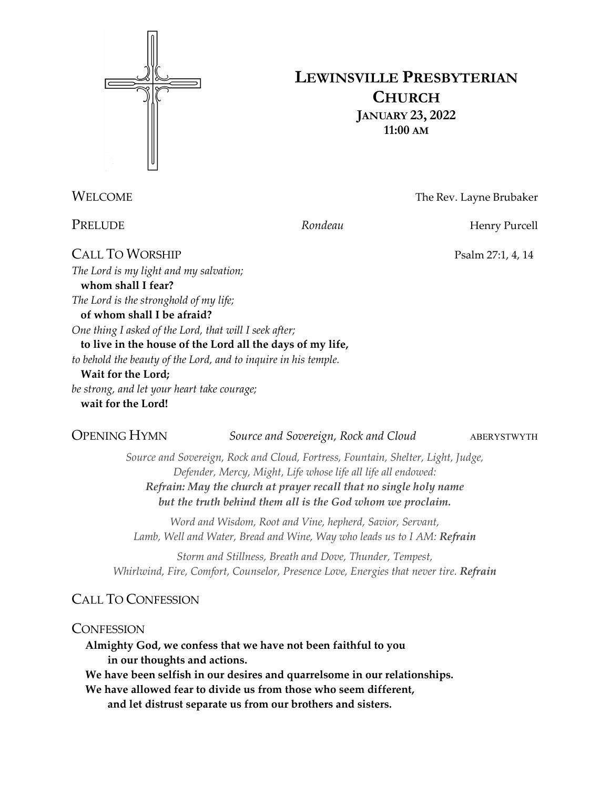

## **LEWINSVILLE PRESBYTERIAN CHURCH JANUARY 23, 2022 11:00 AM**

WELCOME The Rev. Layne Brubaker

PRELUDE *Rondeau* Rondeau **Henry Purcell** 

CALL TO WORSHIP Psalm 27:1, 4, 14 *The Lord is my light and my salvation;* **whom shall I fear?** *The Lord is the stronghold of my life;* **of whom shall I be afraid?** *One thing I asked of the Lord, that will I seek after;* **to live in the house of the Lord all the days of my life,** *to behold the beauty of the Lord, and to inquire in his temple.* **Wait for the Lord;** *be strong, and let your heart take courage;* **wait for the Lord!**

**OPENING HYMN** *Source and Sovereign, Rock and Cloud* ABERYSTWYTH

*Source and Sovereign, Rock and Cloud, Fortress, Fountain, Shelter, Light, Judge, Defender, Mercy, Might, Life whose life all life all endowed: Refrain: May the church at prayer recall that no single holy name but the truth behind them all is the God whom we proclaim.*

*Word and Wisdom, Root and Vine, hepherd, Savior, Servant, Lamb, Well and Water, Bread and Wine, Way who leads us to I AM: Refrain*

*Storm and Stillness, Breath and Dove, Thunder, Tempest, Whirlwind, Fire, Comfort, Counselor, Presence Love, Energies that never tire. Refrain*

## CALL TO CONFESSION

## **CONFESSION**

**Almighty God, we confess that we have not been faithful to you in our thoughts and actions.**

**We have been selfish in our desires and quarrelsome in our relationships.**

**We have allowed fear to divide us from those who seem different, and let distrust separate us from our brothers and sisters.**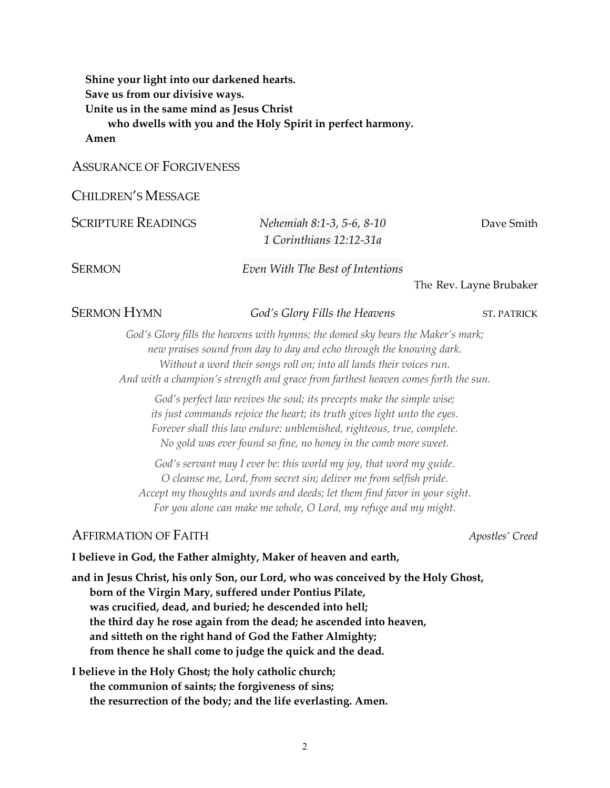**Shine your light into our darkened hearts. Save us from our divisive ways. Unite us in the same mind as Jesus Christ who dwells with you and the Holy Spirit in perfect harmony.**

**Amen**

#### ASSURANCE OF FORGIVENESS

#### CHILDREN'S MESSAGE

| <b>SCRIPTURE READINGS</b> | Nehemiah 8:1-3, 5-6, 8-10        | Dave Smith              |
|---------------------------|----------------------------------|-------------------------|
|                           | 1 Corinthians 12:12-31a          |                         |
| SERMON                    | Even With The Best of Intentions |                         |
|                           |                                  | The Rev. Layne Brubaker |
| <b>SERMON HYMN</b>        | God's Glory Fills the Heavens    | <b>ST. PATRICK</b>      |

*God's Glory fills the heavens with hymns; the domed sky bears the Maker's mark; new praises sound from day to day and echo through the knowing dark. Without a word their songs roll on; into all lands their voices run. And with a champion's strength and grace from farthest heaven comes forth the sun.*

*God's perfect law revives the soul; its precepts make the simple wise; its just commands rejoice the heart; its truth gives light unto the eyes. Forever shall this law endure: unblemished, righteous, true, complete. No gold was ever found so fine, no honey in the comb more sweet.*

*God's servant may I ever be: this world my joy, that word my guide. O cleanse me, Lord, from secret sin; deliver me from selfish pride. Accept my thoughts and words and deeds; let them find favor in your sight. For you alone can make me whole, O Lord, my refuge and my might.*

### AFFIRMATION OF FAITH *Apostles' Creed*

#### **I believe in God, the Father almighty, Maker of heaven and earth,**

**and in Jesus Christ, his only Son, our Lord, who was conceived by the Holy Ghost, born of the Virgin Mary, suffered under Pontius Pilate, was crucified, dead, and buried; he descended into hell; the third day he rose again from the dead; he ascended into heaven, and sitteth on the right hand of God the Father Almighty; from thence he shall come to judge the quick and the dead.**

## **I believe in the Holy Ghost; the holy catholic church; the communion of saints; the forgiveness of sins; the resurrection of the body; and the life everlasting. Amen.**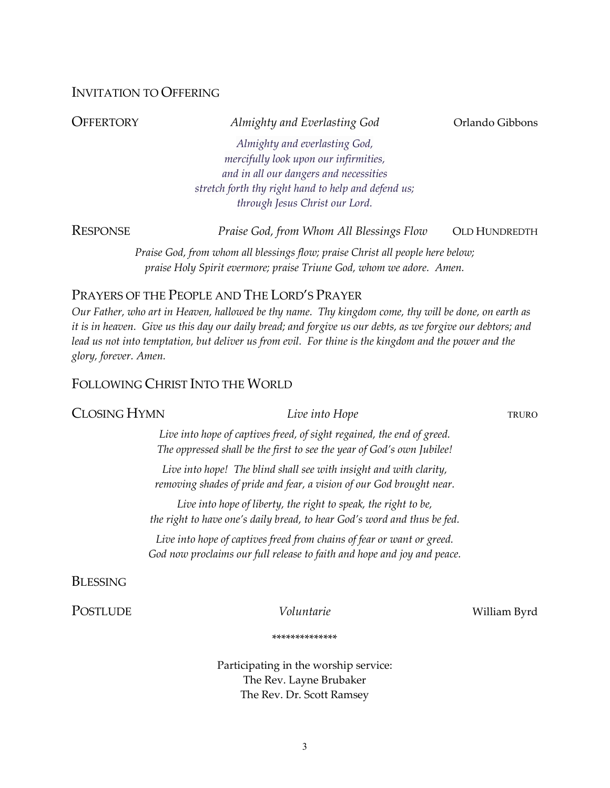#### INVITATION TO OFFERING

| OFFERTORY<br>Almighty and Everlasting God            | Orlando Gibbons                                                                                                                                        |
|------------------------------------------------------|--------------------------------------------------------------------------------------------------------------------------------------------------------|
| Almighty and everlasting God,                        |                                                                                                                                                        |
| mercifully look upon our infirmities,                |                                                                                                                                                        |
| and in all our dangers and necessities               |                                                                                                                                                        |
| stretch forth thy right hand to help and defend us;  |                                                                                                                                                        |
| through Jesus Christ our Lord.                       |                                                                                                                                                        |
| Response<br>Praise God, from Whom All Blessings Flow | <b>OLD HUNDREDTH</b>                                                                                                                                   |
|                                                      |                                                                                                                                                        |
|                                                      | Praise God, from whom all blessings flow; praise Christ all people here below;<br>praise Holy Spirit evermore; praise Triune God, whom we adore. Amen. |

## PRAYERS OF THE PEOPLE AND THE LORD'S PRAYER

*Our Father, who art in Heaven, hallowed be thy name. Thy kingdom come, thy will be done, on earth as it is in heaven. Give us this day our daily bread; and forgive us our debts, as we forgive our debtors; and lead us not into temptation, but deliver us from evil. For thine is the kingdom and the power and the glory, forever. Amen.* 

#### FOLLOWING CHRIST INTO THE WORLD

#### **CLOSING HYMN** *Live into Hope* TRURO

*Live into hope of captives freed, of sight regained, the end of greed. The oppressed shall be the first to see the year of God's own Jubilee!*

*Live into hope! The blind shall see with insight and with clarity, removing shades of pride and fear, a vision of our God brought near.*

*Live into hope of liberty, the right to speak, the right to be, the right to have one's daily bread, to hear God's word and thus be fed.*

*Live into hope of captives freed from chains of fear or want or greed. God now proclaims our full release to faith and hope and joy and peace.*

BLESSING

POSTLUDE *Voluntarie Voluntarie* William Byrd

\*\*\*\*\*\*\*\*\*\*\*\*\*\*

Participating in the worship service: The Rev. Layne Brubaker The Rev. Dr. Scott Ramsey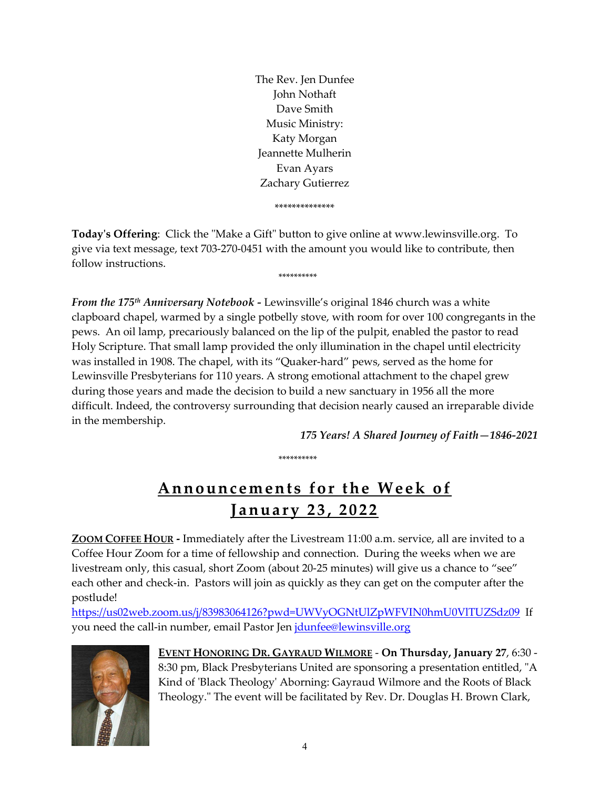The Rev. Jen Dunfee John Nothaft Dave Smith Music Ministry: Katy Morgan Jeannette Mulherin Evan Ayars Zachary Gutierrez \*\*\*\*\*\*\*\*\*\*\*\*\*\*

**Today's Offering**: Click the "Make a Gift" button to give online at www.lewinsville.org. To give via text message, text 703-270-0451 with the amount you would like to contribute, then follow instructions.

\*\*\*\*\*\*\*\*\*\*

*From the 175th Anniversary Notebook -* Lewinsville's original 1846 church was a white clapboard chapel, warmed by a single potbelly stove, with room for over 100 congregants in the pews. An oil lamp, precariously balanced on the lip of the pulpit, enabled the pastor to read Holy Scripture. That small lamp provided the only illumination in the chapel until electricity was installed in 1908. The chapel, with its "Quaker-hard" pews, served as the home for Lewinsville Presbyterians for 110 years. A strong emotional attachment to the chapel grew during those years and made the decision to build a new sanctuary in 1956 all the more difficult. Indeed, the controversy surrounding that decision nearly caused an irreparable divide in the membership.

*175 Years! A Shared Journey of Faith—1846-2021*

\*\*\*\*\*\*\*\*\*\*

# **Announcements for the Week of J anuary 2 3 , 2022**

**ZOOM COFFEE HOUR -** Immediately after the Livestream 11:00 a.m. service, all are invited to a Coffee Hour Zoom for a time of fellowship and connection. During the weeks when we are livestream only, this casual, short Zoom (about 20-25 minutes) will give us a chance to "see" each other and check-in. Pastors will join as quickly as they can get on the computer after the postlude!

<https://us02web.zoom.us/j/83983064126?pwd=UWVyOGNtUlZpWFVIN0hmU0VlTUZSdz09> If you need the call-in number, email Pastor Jen [jdunfee@lewinsville.org](mailto:jdunfee@lewinsville.org)



**EVENT HONORING DR. GAYRAUD WILMORE** - **On Thursday, January 27**, 6:30 - 8:30 pm, Black Presbyterians United are sponsoring a presentation entitled, "A Kind of 'Black Theology' Aborning: Gayraud Wilmore and the Roots of Black Theology." The event will be facilitated by Rev. Dr. Douglas H. Brown Clark,